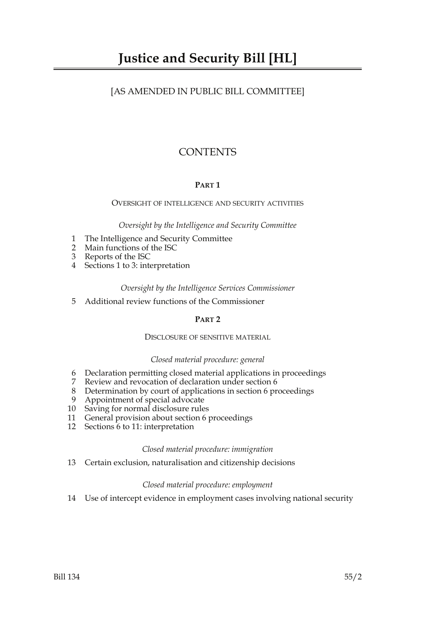# [AS AMENDED IN PUBLIC BILL COMMITTEE]

# **CONTENTS**

## **PART 1**

## OVERSIGHT OF INTELLIGENCE AND SECURITY ACTIVITIES

*Oversight by the Intelligence and Security Committee*

- 1 The Intelligence and Security Committee
- 2 Main functions of the ISC
- 3 Reports of the ISC
- 4 Sections 1 to 3: interpretation

## *Oversight by the Intelligence Services Commissioner*

5 Additional review functions of the Commissioner

## **PART 2**

## DISCLOSURE OF SENSITIVE MATERIAL

## *Closed material procedure: general*

- 6 Declaration permitting closed material applications in proceedings
- 7 Review and revocation of declaration under section 6
- 8 Determination by court of applications in section 6 proceedings
- 9 Appointment of special advocate
- 10 Saving for normal disclosure rules
- 11 General provision about section 6 proceedings
- 12 Sections 6 to 11: interpretation

## *Closed material procedure: immigration*

13 Certain exclusion, naturalisation and citizenship decisions

## *Closed material procedure: employment*

14 Use of intercept evidence in employment cases involving national security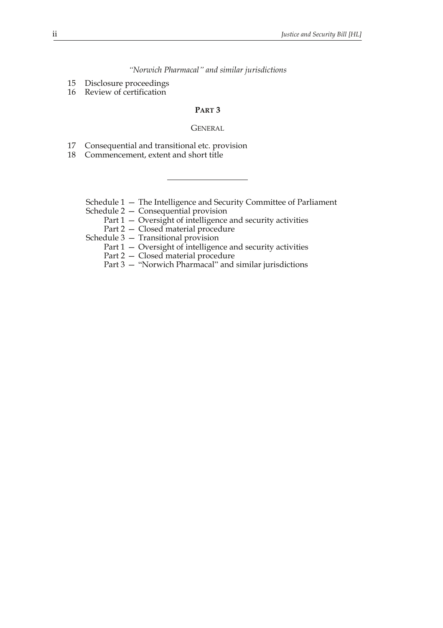*"Norwich Pharmacal" and similar jurisdictions*

- 15 Disclosure proceedings
- 16 Review of certification

#### **PART 3**

#### **GENERAL**

- 17 Consequential and transitional etc. provision
- 18 Commencement, extent and short title
	- Schedule 1 The Intelligence and Security Committee of Parliament
	- Schedule 2 Consequential provision
		- Part 1 Oversight of intelligence and security activities
		- Part 2 Closed material procedure
	- Schedule 3 Transitional provision
		- Part 1 Oversight of intelligence and security activities
		- Part 2 Closed material procedure
		- Part 3 "Norwich Pharmacal" and similar jurisdictions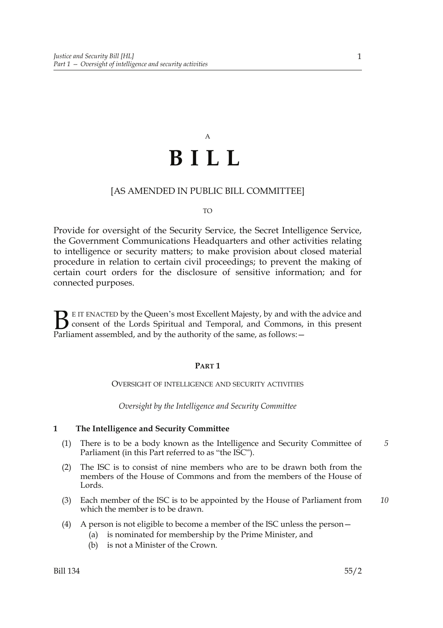# A **BILL**

## [AS AMENDED IN PUBLIC BILL COMMITTEE]

#### $T<sub>O</sub>$

Provide for oversight of the Security Service, the Secret Intelligence Service, the Government Communications Headquarters and other activities relating to intelligence or security matters; to make provision about closed material procedure in relation to certain civil proceedings; to prevent the making of certain court orders for the disclosure of sensitive information; and for connected purposes.

E IT ENACTED by the Queen's most Excellent Majesty, by and with the advice and consent of the Lords Spiritual and Temporal, and Commons, in this present **B** E IT ENACTED by the Queen's most Excellent Majesty, by and with consent of the Lords Spiritual and Temporal, and Commons, Parliament assembled, and by the authority of the same, as follows:  $-$ 

#### **PART 1**

#### OVERSIGHT OF INTELLIGENCE AND SECURITY ACTIVITIES

*Oversight by the Intelligence and Security Committee*

#### **1 The Intelligence and Security Committee**

- (1) There is to be a body known as the Intelligence and Security Committee of Parliament (in this Part referred to as "the ISC"). *5*
- (2) The ISC is to consist of nine members who are to be drawn both from the members of the House of Commons and from the members of the House of Lords.
- (3) Each member of the ISC is to be appointed by the House of Parliament from which the member is to be drawn. *10*
- (4) A person is not eligible to become a member of the ISC unless the person—
	- (a) is nominated for membership by the Prime Minister, and
		- (b) is not a Minister of the Crown.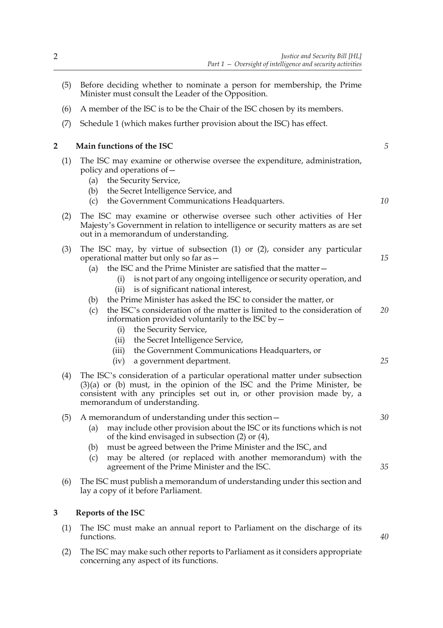- (5) Before deciding whether to nominate a person for membership, the Prime Minister must consult the Leader of the Opposition.
- (6) A member of the ISC is to be the Chair of the ISC chosen by its members.
- (7) Schedule 1 (which makes further provision about the ISC) has effect.

## **2 Main functions of the ISC**

- (1) The ISC may examine or otherwise oversee the expenditure, administration, policy and operations of—
	- (a) the Security Service,
	- (b) the Secret Intelligence Service, and
	- (c) the Government Communications Headquarters.
- (2) The ISC may examine or otherwise oversee such other activities of Her Majesty's Government in relation to intelligence or security matters as are set out in a memorandum of understanding.
- (3) The ISC may, by virtue of subsection (1) or (2), consider any particular operational matter but only so far as— *15*
	- (a) the ISC and the Prime Minister are satisfied that the matter—
		- (i) is not part of any ongoing intelligence or security operation, and (ii) is of significant national interest,
	- (b) the Prime Minister has asked the ISC to consider the matter, or
	- (c) the ISC's consideration of the matter is limited to the consideration of information provided voluntarily to the ISC by— *20*
		- (i) the Security Service,
		- (ii) the Secret Intelligence Service,
		- (iii) the Government Communications Headquarters, or
		- (iv) a government department.
- (4) The ISC's consideration of a particular operational matter under subsection (3)(a) or (b) must, in the opinion of the ISC and the Prime Minister, be consistent with any principles set out in, or other provision made by, a memorandum of understanding.

(5) A memorandum of understanding under this section—

- (a) may include other provision about the ISC or its functions which is not of the kind envisaged in subsection (2) or (4),
- (b) must be agreed between the Prime Minister and the ISC, and
- (c) may be altered (or replaced with another memorandum) with the agreement of the Prime Minister and the ISC.
- (6) The ISC must publish a memorandum of understanding under this section and lay a copy of it before Parliament.

## **3 Reports of the ISC**

- (1) The ISC must make an annual report to Parliament on the discharge of its functions.
- (2) The ISC may make such other reports to Parliament as it considers appropriate concerning any aspect of its functions.

*40*

*5*

*10*

*25*

*30*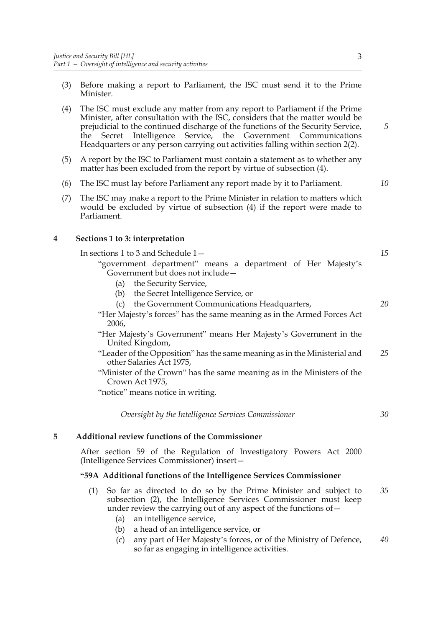- (3) Before making a report to Parliament, the ISC must send it to the Prime Minister.
- (4) The ISC must exclude any matter from any report to Parliament if the Prime Minister, after consultation with the ISC, considers that the matter would be prejudicial to the continued discharge of the functions of the Security Service, the Secret Intelligence Service, the Government Communications Headquarters or any person carrying out activities falling within section 2(2).
- (5) A report by the ISC to Parliament must contain a statement as to whether any matter has been excluded from the report by virtue of subsection (4).
- (6) The ISC must lay before Parliament any report made by it to Parliament.
- (7) The ISC may make a report to the Prime Minister in relation to matters which would be excluded by virtue of subsection (4) if the report were made to Parliament.

## **4 Sections 1 to 3: interpretation**

In sections 1 to 3 and Schedule 1— "government department" means a department of Her Majesty's Government but does not include— *15*

- (a) the Security Service,
- (b) the Secret Intelligence Service, or
- (c) the Government Communications Headquarters,
- "Her Majesty's forces" has the same meaning as in the Armed Forces Act 2006,
- "Her Majesty's Government" means Her Majesty's Government in the United Kingdom,
- "Leader of the Opposition" has the same meaning as in the Ministerial and other Salaries Act 1975, *25*
- "Minister of the Crown" has the same meaning as in the Ministers of the Crown Act 1975,

"notice" means notice in writing.

*Oversight by the Intelligence Services Commissioner*

*30*

*20*

## **5 Additional review functions of the Commissioner**

After section 59 of the Regulation of Investigatory Powers Act 2000 (Intelligence Services Commissioner) insert—

## **"59A Additional functions of the Intelligence Services Commissioner**

- (1) So far as directed to do so by the Prime Minister and subject to subsection (2), the Intelligence Services Commissioner must keep under review the carrying out of any aspect of the functions of— *35*
	- (a) an intelligence service,
	- (b) a head of an intelligence service, or
	- (c) any part of Her Majesty's forces, or of the Ministry of Defence, so far as engaging in intelligence activities. *40*

*10*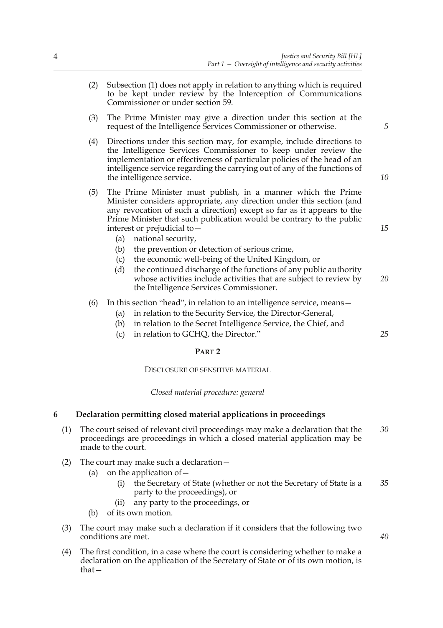- (2) Subsection (1) does not apply in relation to anything which is required to be kept under review by the Interception of Communications Commissioner or under section 59.
- (3) The Prime Minister may give a direction under this section at the request of the Intelligence Services Commissioner or otherwise.
- (4) Directions under this section may, for example, include directions to the Intelligence Services Commissioner to keep under review the implementation or effectiveness of particular policies of the head of an intelligence service regarding the carrying out of any of the functions of the intelligence service.
- (5) The Prime Minister must publish, in a manner which the Prime Minister considers appropriate, any direction under this section (and any revocation of such a direction) except so far as it appears to the Prime Minister that such publication would be contrary to the public interest or prejudicial to—
	- (a) national security,
	- (b) the prevention or detection of serious crime,
	- (c) the economic well-being of the United Kingdom, or
	- (d) the continued discharge of the functions of any public authority whose activities include activities that are subject to review by the Intelligence Services Commissioner. *20*

#### (6) In this section "head", in relation to an intelligence service, means—

- (a) in relation to the Security Service, the Director-General,
- (b) in relation to the Secret Intelligence Service, the Chief, and
- (c) in relation to GCHQ, the Director."

#### **PART 2**

#### DISCLOSURE OF SENSITIVE MATERIAL

#### *Closed material procedure: general*

#### **6 Declaration permitting closed material applications in proceedings**

- (1) The court seised of relevant civil proceedings may make a declaration that the proceedings are proceedings in which a closed material application may be made to the court. *30*
- (2) The court may make such a declaration—
	- (a) on the application of  $-$ 
		- (i) the Secretary of State (whether or not the Secretary of State is a party to the proceedings), or *35*
		- (ii) any party to the proceedings, or
	- (b) of its own motion.
- (3) The court may make such a declaration if it considers that the following two conditions are met.
- (4) The first condition, in a case where the court is considering whether to make a declaration on the application of the Secretary of State or of its own motion, is that—

*5*

*10*

*15*

*25*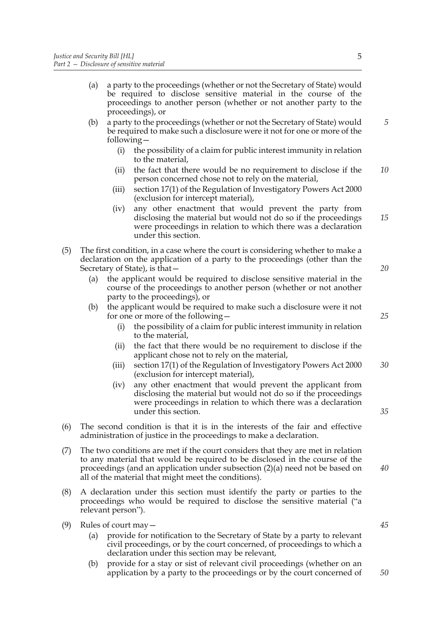- (a) a party to the proceedings (whether or not the Secretary of State) would be required to disclose sensitive material in the course of the proceedings to another person (whether or not another party to the proceedings), or
- (b) a party to the proceedings (whether or not the Secretary of State) would be required to make such a disclosure were it not for one or more of the following—
	- (i) the possibility of a claim for public interest immunity in relation to the material,
	- (ii) the fact that there would be no requirement to disclose if the person concerned chose not to rely on the material, *10*
	- (iii) section 17(1) of the Regulation of Investigatory Powers Act 2000 (exclusion for intercept material),
	- (iv) any other enactment that would prevent the party from disclosing the material but would not do so if the proceedings were proceedings in relation to which there was a declaration under this section. *15*
- (5) The first condition, in a case where the court is considering whether to make a declaration on the application of a party to the proceedings (other than the Secretary of State), is that—
	- (a) the applicant would be required to disclose sensitive material in the course of the proceedings to another person (whether or not another party to the proceedings), or
	- (b) the applicant would be required to make such a disclosure were it not for one or more of the following—
		- (i) the possibility of a claim for public interest immunity in relation to the material,
		- (ii) the fact that there would be no requirement to disclose if the applicant chose not to rely on the material,
		- (iii) section 17(1) of the Regulation of Investigatory Powers Act 2000 (exclusion for intercept material), *30*
		- (iv) any other enactment that would prevent the applicant from disclosing the material but would not do so if the proceedings were proceedings in relation to which there was a declaration under this section.
- (6) The second condition is that it is in the interests of the fair and effective administration of justice in the proceedings to make a declaration.
- (7) The two conditions are met if the court considers that they are met in relation to any material that would be required to be disclosed in the course of the proceedings (and an application under subsection (2)(a) need not be based on all of the material that might meet the conditions).
- (8) A declaration under this section must identify the party or parties to the proceedings who would be required to disclose the sensitive material ("a relevant person").
- (9) Rules of court may—
	- (a) provide for notification to the Secretary of State by a party to relevant civil proceedings, or by the court concerned, of proceedings to which a declaration under this section may be relevant,
	- (b) provide for a stay or sist of relevant civil proceedings (whether on an application by a party to the proceedings or by the court concerned of

*20*

*25*

*5*

*35*

*45*

*50*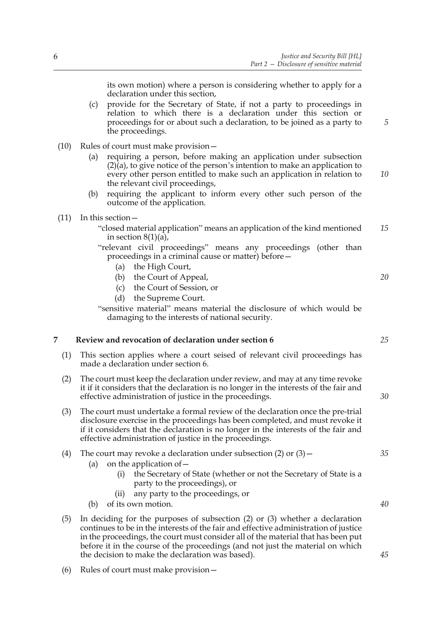its own motion) where a person is considering whether to apply for a declaration under this section,

- (c) provide for the Secretary of State, if not a party to proceedings in relation to which there is a declaration under this section or proceedings for or about such a declaration, to be joined as a party to the proceedings.
- (10) Rules of court must make provision—
	- (a) requiring a person, before making an application under subsection (2)(a), to give notice of the person's intention to make an application to every other person entitled to make such an application in relation to the relevant civil proceedings, *10*
	- (b) requiring the applicant to inform every other such person of the outcome of the application.
- (11) In this section—
	- "closed material application" means an application of the kind mentioned in section  $8(1)(a)$ , *15*
	- "relevant civil proceedings" means any proceedings (other than proceedings in a criminal cause or matter) before—
		- (a) the High Court,
		- (b) the Court of Appeal,
		- (c) the Court of Session, or
		- (d) the Supreme Court.

"sensitive material" means material the disclosure of which would be damaging to the interests of national security.

## **7 Review and revocation of declaration under section 6**

- (1) This section applies where a court seised of relevant civil proceedings has made a declaration under section 6.
- (2) The court must keep the declaration under review, and may at any time revoke it if it considers that the declaration is no longer in the interests of the fair and effective administration of justice in the proceedings.
- (3) The court must undertake a formal review of the declaration once the pre-trial disclosure exercise in the proceedings has been completed, and must revoke it if it considers that the declaration is no longer in the interests of the fair and effective administration of justice in the proceedings.

#### (4) The court may revoke a declaration under subsection  $(2)$  or  $(3)$  -

- (a) on the application of  $-$ 
	- (i) the Secretary of State (whether or not the Secretary of State is a party to the proceedings), or
	- (ii) any party to the proceedings, or
- (b) of its own motion.
- (5) In deciding for the purposes of subsection (2) or (3) whether a declaration continues to be in the interests of the fair and effective administration of justice in the proceedings, the court must consider all of the material that has been put before it in the course of the proceedings (and not just the material on which the decision to make the declaration was based).
- (6) Rules of court must make provision—

*20*

*5*

*25*

*30*

*35*

*40*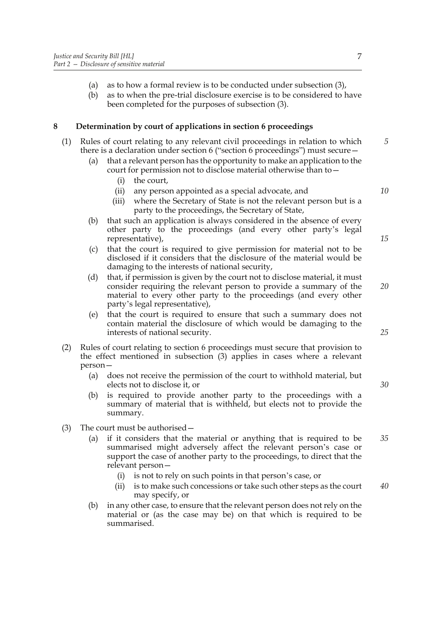- (a) as to how a formal review is to be conducted under subsection (3),
- (b) as to when the pre-trial disclosure exercise is to be considered to have been completed for the purposes of subsection (3).

## **8 Determination by court of applications in section 6 proceedings**

- (1) Rules of court relating to any relevant civil proceedings in relation to which there is a declaration under section 6 ("section 6 proceedings") must secure— *5*
	- (a) that a relevant person has the opportunity to make an application to the court for permission not to disclose material otherwise than to—
		- (i) the court,
		- (ii) any person appointed as a special advocate, and
		- (iii) where the Secretary of State is not the relevant person but is a party to the proceedings, the Secretary of State,
	- (b) that such an application is always considered in the absence of every other party to the proceedings (and every other party's legal representative),
	- (c) that the court is required to give permission for material not to be disclosed if it considers that the disclosure of the material would be damaging to the interests of national security,
	- (d) that, if permission is given by the court not to disclose material, it must consider requiring the relevant person to provide a summary of the material to every other party to the proceedings (and every other party's legal representative),
	- (e) that the court is required to ensure that such a summary does not contain material the disclosure of which would be damaging to the interests of national security.
- (2) Rules of court relating to section 6 proceedings must secure that provision to the effect mentioned in subsection (3) applies in cases where a relevant person—
	- (a) does not receive the permission of the court to withhold material, but elects not to disclose it, or
	- (b) is required to provide another party to the proceedings with a summary of material that is withheld, but elects not to provide the summary.
- (3) The court must be authorised—
	- (a) if it considers that the material or anything that is required to be summarised might adversely affect the relevant person's case or support the case of another party to the proceedings, to direct that the relevant person— *35*
		- (i) is not to rely on such points in that person's case, or
		- (ii) is to make such concessions or take such other steps as the court may specify, or *40*
	- (b) in any other case, to ensure that the relevant person does not rely on the material or (as the case may be) on that which is required to be summarised.

7

*25*

*30*

*20*

*10*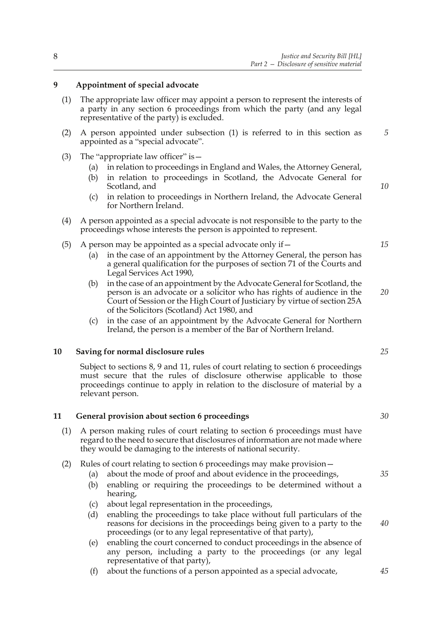## **9 Appointment of special advocate**

- (1) The appropriate law officer may appoint a person to represent the interests of a party in any section 6 proceedings from which the party (and any legal representative of the party) is excluded.
- (2) A person appointed under subsection (1) is referred to in this section as appointed as a "special advocate".
- (3) The "appropriate law officer" is  $-$ 
	- (a) in relation to proceedings in England and Wales, the Attorney General,
	- (b) in relation to proceedings in Scotland, the Advocate General for Scotland, and
	- (c) in relation to proceedings in Northern Ireland, the Advocate General for Northern Ireland.
- (4) A person appointed as a special advocate is not responsible to the party to the proceedings whose interests the person is appointed to represent.
- (5) A person may be appointed as a special advocate only if  $-$ 
	- (a) in the case of an appointment by the Attorney General, the person has a general qualification for the purposes of section 71 of the Courts and Legal Services Act 1990,
	- (b) in the case of an appointment by the Advocate General for Scotland, the person is an advocate or a solicitor who has rights of audience in the Court of Session or the High Court of Justiciary by virtue of section 25A of the Solicitors (Scotland) Act 1980, and
	- (c) in the case of an appointment by the Advocate General for Northern Ireland, the person is a member of the Bar of Northern Ireland.

#### **10 Saving for normal disclosure rules**

Subject to sections 8, 9 and 11, rules of court relating to section 6 proceedings must secure that the rules of disclosure otherwise applicable to those proceedings continue to apply in relation to the disclosure of material by a relevant person.

#### **11 General provision about section 6 proceedings**

- (1) A person making rules of court relating to section 6 proceedings must have regard to the need to secure that disclosures of information are not made where they would be damaging to the interests of national security.
- (2) Rules of court relating to section 6 proceedings may make provision—
	- (a) about the mode of proof and about evidence in the proceedings,
	- (b) enabling or requiring the proceedings to be determined without a hearing,
	- (c) about legal representation in the proceedings,
	- (d) enabling the proceedings to take place without full particulars of the reasons for decisions in the proceedings being given to a party to the proceedings (or to any legal representative of that party),
	- (e) enabling the court concerned to conduct proceedings in the absence of any person, including a party to the proceedings (or any legal representative of that party),
	- (f) about the functions of a person appointed as a special advocate,

*15*

*20*

*5*

*10*

*25*

# *30*

*35*

*45*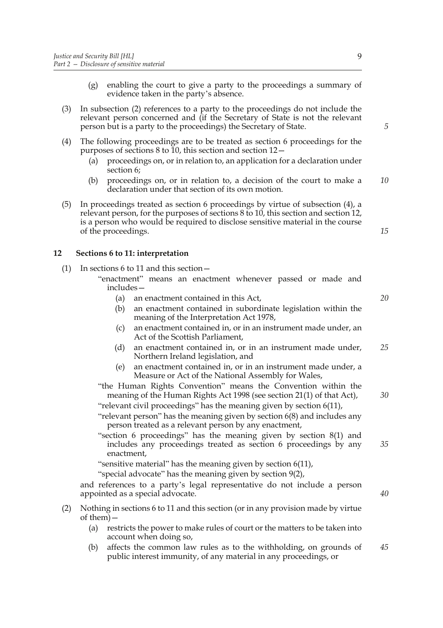- (g) enabling the court to give a party to the proceedings a summary of evidence taken in the party's absence.
- (3) In subsection (2) references to a party to the proceedings do not include the relevant person concerned and (if the Secretary of State is not the relevant person but is a party to the proceedings) the Secretary of State.
- (4) The following proceedings are to be treated as section 6 proceedings for the purposes of sections 8 to 10, this section and section 12—
	- (a) proceedings on, or in relation to, an application for a declaration under section 6;
	- (b) proceedings on, or in relation to, a decision of the court to make a declaration under that section of its own motion. *10*
- (5) In proceedings treated as section 6 proceedings by virtue of subsection (4), a relevant person, for the purposes of sections 8 to 10, this section and section 12, is a person who would be required to disclose sensitive material in the course of the proceedings.

## **12 Sections 6 to 11: interpretation**

(1) In sections 6 to 11 and this section—

"enactment" means an enactment whenever passed or made and includes—

- (a) an enactment contained in this Act,
- (b) an enactment contained in subordinate legislation within the meaning of the Interpretation Act 1978,
- (c) an enactment contained in, or in an instrument made under, an Act of the Scottish Parliament,
- (d) an enactment contained in, or in an instrument made under, Northern Ireland legislation, and *25*
- (e) an enactment contained in, or in an instrument made under, a Measure or Act of the National Assembly for Wales,

"the Human Rights Convention" means the Convention within the meaning of the Human Rights Act 1998 (see section 21(1) of that Act),

"relevant civil proceedings" has the meaning given by section 6(11),

"relevant person" has the meaning given by section 6(8) and includes any person treated as a relevant person by any enactment,

"section 6 proceedings" has the meaning given by section 8(1) and includes any proceedings treated as section 6 proceedings by any enactment,

"sensitive material" has the meaning given by section 6(11),

"special advocate" has the meaning given by section 9(2),

and references to a party's legal representative do not include a person appointed as a special advocate.

- (2) Nothing in sections 6 to 11 and this section (or in any provision made by virtue of them)—
	- (a) restricts the power to make rules of court or the matters to be taken into account when doing so,
	- (b) affects the common law rules as to the withholding, on grounds of public interest immunity, of any material in any proceedings, or *45*

*30*

*35*

*5*

*15*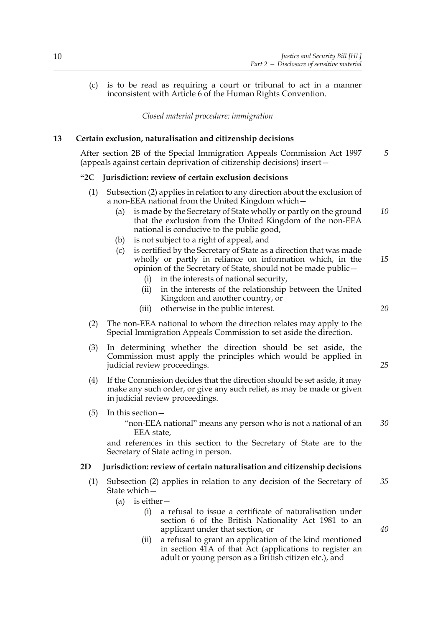(c) is to be read as requiring a court or tribunal to act in a manner inconsistent with Article 6 of the Human Rights Convention.

*Closed material procedure: immigration*

#### **13 Certain exclusion, naturalisation and citizenship decisions**

After section 2B of the Special Immigration Appeals Commission Act 1997 (appeals against certain deprivation of citizenship decisions) insert— *5*

#### **"2C Jurisdiction: review of certain exclusion decisions**

| (1) Subsection (2) applies in relation to any direction about the exclusion of |
|--------------------------------------------------------------------------------|
| a non-EEA national from the United Kingdom which –                             |

- (a) is made by the Secretary of State wholly or partly on the ground that the exclusion from the United Kingdom of the non-EEA national is conducive to the public good, *10*
- (b) is not subject to a right of appeal, and
- (c) is certified by the Secretary of State as a direction that was made wholly or partly in reliance on information which, in the opinion of the Secretary of State, should not be made public— *15*
	- (i) in the interests of national security,
	- (ii) in the interests of the relationship between the United Kingdom and another country, or
	- (iii) otherwise in the public interest.
- (2) The non-EEA national to whom the direction relates may apply to the Special Immigration Appeals Commission to set aside the direction.
- (3) In determining whether the direction should be set aside, the Commission must apply the principles which would be applied in judicial review proceedings.
- (4) If the Commission decides that the direction should be set aside, it may make any such order, or give any such relief, as may be made or given in judicial review proceedings.
- (5) In this section—
	- "non-EEA national" means any person who is not a national of an EEA state, *30*

and references in this section to the Secretary of State are to the Secretary of State acting in person.

#### **2D Jurisdiction: review of certain naturalisation and citizenship decisions**

- (1) Subsection (2) applies in relation to any decision of the Secretary of State which— *35*
	- (a) is either—
		- (i) a refusal to issue a certificate of naturalisation under section 6 of the British Nationality Act 1981 to an applicant under that section, or
		- (ii) a refusal to grant an application of the kind mentioned in section 41A of that Act (applications to register an adult or young person as a British citizen etc.), and

*25*

*20*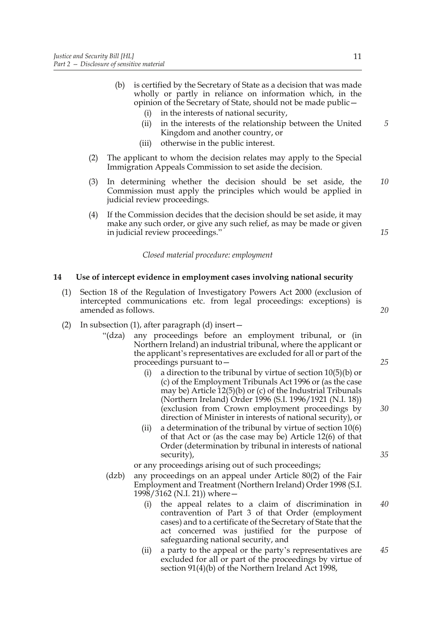- (b) is certified by the Secretary of State as a decision that was made wholly or partly in reliance on information which, in the opinion of the Secretary of State, should not be made public—
	- (i) in the interests of national security,
	- (ii) in the interests of the relationship between the United Kingdom and another country, or
	- (iii) otherwise in the public interest.
- (2) The applicant to whom the decision relates may apply to the Special Immigration Appeals Commission to set aside the decision.
- (3) In determining whether the decision should be set aside, the Commission must apply the principles which would be applied in judicial review proceedings. *10*
- (4) If the Commission decides that the decision should be set aside, it may make any such order, or give any such relief, as may be made or given in judicial review proceedings."

#### *Closed material procedure: employment*

## **14 Use of intercept evidence in employment cases involving national security**

- (1) Section 18 of the Regulation of Investigatory Powers Act 2000 (exclusion of intercepted communications etc. from legal proceedings: exceptions) is amended as follows.
- (2) In subsection (1), after paragraph (d) insert—
	- "(dza) any proceedings before an employment tribunal, or (in Northern Ireland) an industrial tribunal, where the applicant or the applicant's representatives are excluded for all or part of the proceedings pursuant to—
		- (i) a direction to the tribunal by virtue of section 10(5)(b) or (c) of the Employment Tribunals Act 1996 or (as the case may be) Article 12(5)(b) or (c) of the Industrial Tribunals (Northern Ireland) Order 1996 (S.I. 1996/1921 (N.I. 18)) (exclusion from Crown employment proceedings by direction of Minister in interests of national security), or
		- (ii) a determination of the tribunal by virtue of section  $10(6)$ of that Act or (as the case may be) Article 12(6) of that Order (determination by tribunal in interests of national security),

or any proceedings arising out of such proceedings;

- (dzb) any proceedings on an appeal under Article 80(2) of the Fair Employment and Treatment (Northern Ireland) Order 1998 (S.I. 1998/3162 (N.I. 21)) where—
	- (i) the appeal relates to a claim of discrimination in contravention of Part 3 of that Order (employment cases) and to a certificate of the Secretary of State that the act concerned was justified for the purpose of safeguarding national security, and *40*
	- (ii) a party to the appeal or the party's representatives are excluded for all or part of the proceedings by virtue of section 91(4)(b) of the Northern Ireland Act 1998,

*5*

*20*

*15*

*25*

*35*

*45*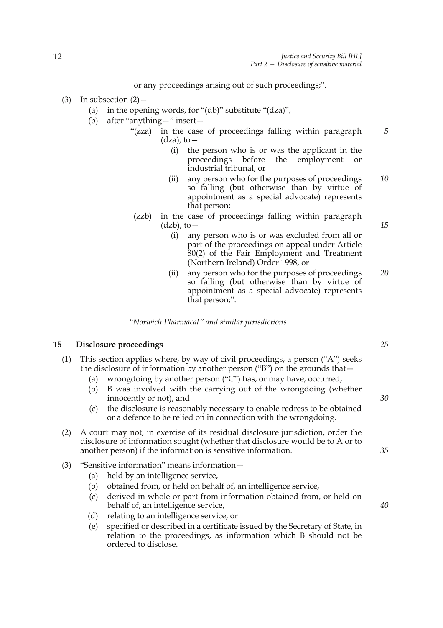or any proceedings arising out of such proceedings;".

- (3) In subsection  $(2)$ 
	- (a) in the opening words, for "(db)" substitute "(dza)",
	- (b) after "anything—" insert—
		- "(zza) in the case of proceedings falling within paragraph  $(dza)$ , to  $-$ *5*
			- (i) the person who is or was the applicant in the proceedings before the employment or industrial tribunal, or
			- (ii) any person who for the purposes of proceedings so falling (but otherwise than by virtue of appointment as a special advocate) represents that person; *10*
			- (zzb) in the case of proceedings falling within paragraph  $(dzb)$ , to  $-$ 
				- (i) any person who is or was excluded from all or part of the proceedings on appeal under Article 80(2) of the Fair Employment and Treatment (Northern Ireland) Order 1998, or
				- (ii) any person who for the purposes of proceedings so falling (but otherwise than by virtue of appointment as a special advocate) represents that person;". *20*

*"Norwich Pharmacal" and similar jurisdictions*

## **15 Disclosure proceedings**

- (1) This section applies where, by way of civil proceedings, a person ("A") seeks the disclosure of information by another person ("B") on the grounds that—
	- (a) wrongdoing by another person ("C") has, or may have, occurred,
	- (b) B was involved with the carrying out of the wrongdoing (whether innocently or not), and
	- (c) the disclosure is reasonably necessary to enable redress to be obtained or a defence to be relied on in connection with the wrongdoing.
- (2) A court may not, in exercise of its residual disclosure jurisdiction, order the disclosure of information sought (whether that disclosure would be to A or to another person) if the information is sensitive information.
- (3) "Sensitive information" means information—
	- (a) held by an intelligence service,
	- (b) obtained from, or held on behalf of, an intelligence service,
	- (c) derived in whole or part from information obtained from, or held on behalf of, an intelligence service,
	- (d) relating to an intelligence service, or
	- (e) specified or described in a certificate issued by the Secretary of State, in relation to the proceedings, as information which B should not be ordered to disclose.

*25*

*30*

*15*

*40*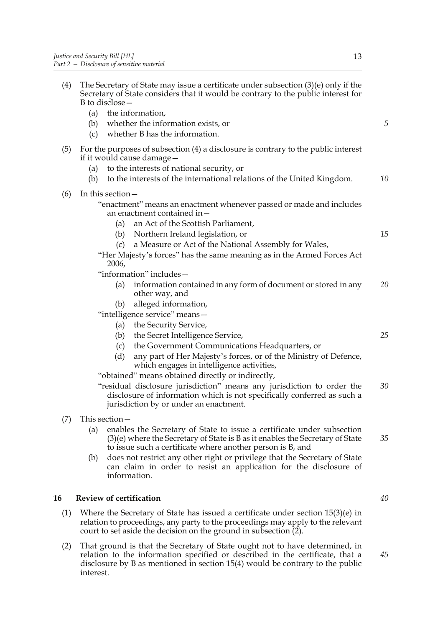| (4) | The Secretary of State may issue a certificate under subsection $(3)(e)$ only if the<br>Secretary of State considers that it would be contrary to the public interest for<br>B to disclose –<br>the information,<br>(a)<br>(b) whether the information exists, or<br>whether B has the information.<br>(c)                            |    |  |  |  |  |  |
|-----|---------------------------------------------------------------------------------------------------------------------------------------------------------------------------------------------------------------------------------------------------------------------------------------------------------------------------------------|----|--|--|--|--|--|
| (5) | For the purposes of subsection (4) a disclosure is contrary to the public interest<br>if it would cause damage -<br>to the interests of national security, or<br>(a)<br>to the interests of the international relations of the United Kingdom.<br>(b)                                                                                 |    |  |  |  |  |  |
| (6) | In this section -<br>"enactment" means an enactment whenever passed or made and includes<br>an enactment contained in-<br>an Act of the Scottish Parliament,<br>(a)                                                                                                                                                                   |    |  |  |  |  |  |
|     | Northern Ireland legislation, or<br>(b)<br>a Measure or Act of the National Assembly for Wales,<br>(c)<br>"Her Majesty's forces" has the same meaning as in the Armed Forces Act<br>2006,<br>"information" includes-                                                                                                                  | 15 |  |  |  |  |  |
|     | information contained in any form of document or stored in any<br>(a)<br>other way, and<br>alleged information,<br>(b)<br>"intelligence service" means-                                                                                                                                                                               | 20 |  |  |  |  |  |
|     | the Security Service,<br>(a)<br>the Secret Intelligence Service,<br>(b)<br>the Government Communications Headquarters, or<br>(c)<br>any part of Her Majesty's forces, or of the Ministry of Defence,<br>(d)<br>which engages in intelligence activities,<br>"obtained" means obtained directly or indirectly,                         | 25 |  |  |  |  |  |
|     | "residual disclosure jurisdiction" means any jurisdiction to order the<br>disclosure of information which is not specifically conferred as such a<br>jurisdiction by or under an enactment.                                                                                                                                           | 30 |  |  |  |  |  |
| (7) | This section-<br>enables the Secretary of State to issue a certificate under subsection<br>(a)<br>$(3)$ (e) where the Secretary of State is B as it enables the Secretary of State<br>to issue such a certificate where another person is B, and<br>does not restrict any other right or privilege that the Secretary of State<br>(b) | 35 |  |  |  |  |  |
| 16  | can claim in order to resist an application for the disclosure of<br>information.<br>Review of certification                                                                                                                                                                                                                          | 40 |  |  |  |  |  |

- (1) Where the Secretary of State has issued a certificate under section 15(3)(e) in relation to proceedings, any party to the proceedings may apply to the relevant court to set aside the decision on the ground in subsection (2).
- (2) That ground is that the Secretary of State ought not to have determined, in relation to the information specified or described in the certificate, that a disclosure by B as mentioned in section 15(4) would be contrary to the public interest.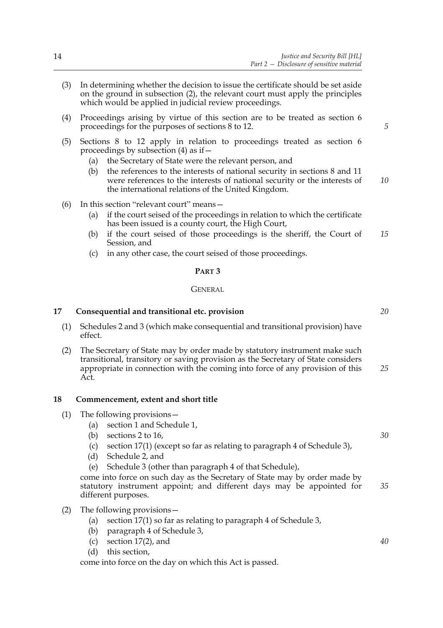- (3) In determining whether the decision to issue the certificate should be set aside on the ground in subsection (2), the relevant court must apply the principles which would be applied in judicial review proceedings.
- (4) Proceedings arising by virtue of this section are to be treated as section 6 proceedings for the purposes of sections 8 to 12.
- (5) Sections 8 to 12 apply in relation to proceedings treated as section 6 proceedings by subsection  $(4)$  as if  $-$ 
	- (a) the Secretary of State were the relevant person, and
	- (b) the references to the interests of national security in sections 8 and 11 were references to the interests of national security or the interests of the international relations of the United Kingdom. *10*
- (6) In this section "relevant court" means—
	- (a) if the court seised of the proceedings in relation to which the certificate has been issued is a county court, the High Court,
	- (b) if the court seised of those proceedings is the sheriff, the Court of Session, and *15*
	- (c) in any other case, the court seised of those proceedings.

#### **PART 3**

#### **GENERAL**

#### **17 Consequential and transitional etc. provision**

- (1) Schedules 2 and 3 (which make consequential and transitional provision) have effect.
- (2) The Secretary of State may by order made by statutory instrument make such transitional, transitory or saving provision as the Secretary of State considers appropriate in connection with the coming into force of any provision of this Act. *25*

#### **18 Commencement, extent and short title**

- (1) The following provisions—
	- (a) section 1 and Schedule 1,
	- (b) sections 2 to 16,
	- (c) section 17(1) (except so far as relating to paragraph 4 of Schedule 3),
	- (d) Schedule 2, and
	- (e) Schedule 3 (other than paragraph 4 of that Schedule),

come into force on such day as the Secretary of State may by order made by statutory instrument appoint; and different days may be appointed for different purposes. *35*

- (2) The following provisions—
	- (a) section 17(1) so far as relating to paragraph 4 of Schedule 3,
		- (b) paragraph 4 of Schedule 3,
		- (c) section 17(2), and
		- (d) this section,

come into force on the day on which this Act is passed.

*5*

*20*

*30*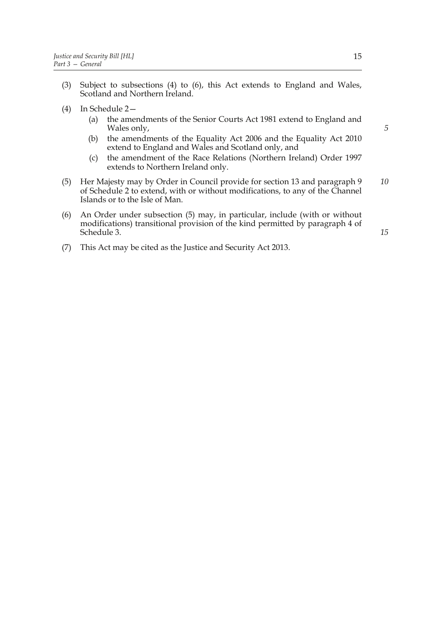- (3) Subject to subsections (4) to (6), this Act extends to England and Wales, Scotland and Northern Ireland.
- (4) In Schedule 2—
	- (a) the amendments of the Senior Courts Act 1981 extend to England and Wales only,
	- (b) the amendments of the Equality Act 2006 and the Equality Act 2010 extend to England and Wales and Scotland only, and
	- (c) the amendment of the Race Relations (Northern Ireland) Order 1997 extends to Northern Ireland only.
- (5) Her Majesty may by Order in Council provide for section 13 and paragraph 9 of Schedule 2 to extend, with or without modifications, to any of the Channel Islands or to the Isle of Man. *10*
- (6) An Order under subsection (5) may, in particular, include (with or without modifications) transitional provision of the kind permitted by paragraph 4 of Schedule 3.
- (7) This Act may be cited as the Justice and Security Act 2013.

*15*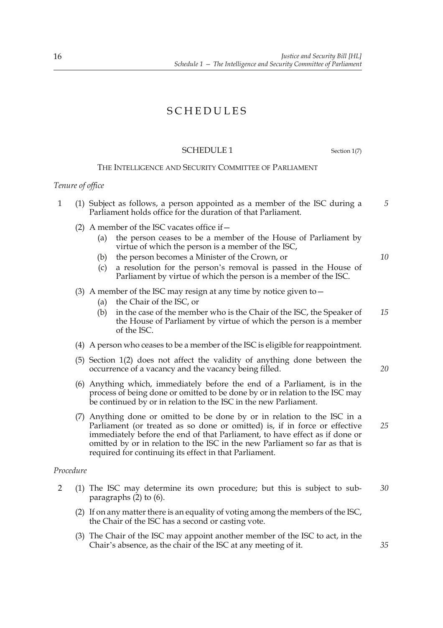# SCHEDULES

## SCHEDULE 1 Section 1(7)

*35*

## THE INTELLIGENCE AND SECURITY COMMITTEE OF PARLIAMENT

## *Tenure of office*

| $\mathbf{1}$   |                                                                                                                                                                                                                                                                                                                                                                                  | (1) Subject as follows, a person appointed as a member of the ISC during a<br>Parliament holds office for the duration of that Parliament.                                                                                                                                                                                                                                          |    |  |  |  |  |  |
|----------------|----------------------------------------------------------------------------------------------------------------------------------------------------------------------------------------------------------------------------------------------------------------------------------------------------------------------------------------------------------------------------------|-------------------------------------------------------------------------------------------------------------------------------------------------------------------------------------------------------------------------------------------------------------------------------------------------------------------------------------------------------------------------------------|----|--|--|--|--|--|
|                |                                                                                                                                                                                                                                                                                                                                                                                  | (2) A member of the ISC vacates office if $-$<br>the person ceases to be a member of the House of Parliament by<br>(a)<br>virtue of which the person is a member of the ISC,<br>the person becomes a Minister of the Crown, or<br>(b)<br>a resolution for the person's removal is passed in the House of<br>(c)<br>Parliament by virtue of which the person is a member of the ISC. | 10 |  |  |  |  |  |
|                |                                                                                                                                                                                                                                                                                                                                                                                  | (3) A member of the ISC may resign at any time by notice given to $-$<br>the Chair of the ISC, or<br>(a)<br>in the case of the member who is the Chair of the ISC, the Speaker of<br>(b)<br>the House of Parliament by virtue of which the person is a member<br>of the ISC.                                                                                                        | 15 |  |  |  |  |  |
|                |                                                                                                                                                                                                                                                                                                                                                                                  | (4) A person who ceases to be a member of the ISC is eligible for reappointment.                                                                                                                                                                                                                                                                                                    |    |  |  |  |  |  |
|                |                                                                                                                                                                                                                                                                                                                                                                                  | (5) Section 1(2) does not affect the validity of anything done between the<br>occurrence of a vacancy and the vacancy being filled.                                                                                                                                                                                                                                                 | 20 |  |  |  |  |  |
|                |                                                                                                                                                                                                                                                                                                                                                                                  | (6) Anything which, immediately before the end of a Parliament, is in the<br>process of being done or omitted to be done by or in relation to the ISC may<br>be continued by or in relation to the ISC in the new Parliament.                                                                                                                                                       |    |  |  |  |  |  |
|                | (7) Anything done or omitted to be done by or in relation to the ISC in a<br>Parliament (or treated as so done or omitted) is, if in force or effective<br>immediately before the end of that Parliament, to have effect as if done or<br>omitted by or in relation to the ISC in the new Parliament so far as that is<br>required for continuing its effect in that Parliament. |                                                                                                                                                                                                                                                                                                                                                                                     |    |  |  |  |  |  |
| Procedure      |                                                                                                                                                                                                                                                                                                                                                                                  |                                                                                                                                                                                                                                                                                                                                                                                     |    |  |  |  |  |  |
| $\overline{2}$ |                                                                                                                                                                                                                                                                                                                                                                                  | (1) The ISC may determine its own procedure; but this is subject to sub-<br>paragraphs $(2)$ to $(6)$ .                                                                                                                                                                                                                                                                             | 30 |  |  |  |  |  |
|                |                                                                                                                                                                                                                                                                                                                                                                                  | (2) If on any matter there is an equality of voting among the members of the ISC,<br>the Chair of the ISC has a second or casting vote.                                                                                                                                                                                                                                             |    |  |  |  |  |  |
|                |                                                                                                                                                                                                                                                                                                                                                                                  |                                                                                                                                                                                                                                                                                                                                                                                     |    |  |  |  |  |  |

(3) The Chair of the ISC may appoint another member of the ISC to act, in the Chair's absence, as the chair of the ISC at any meeting of it.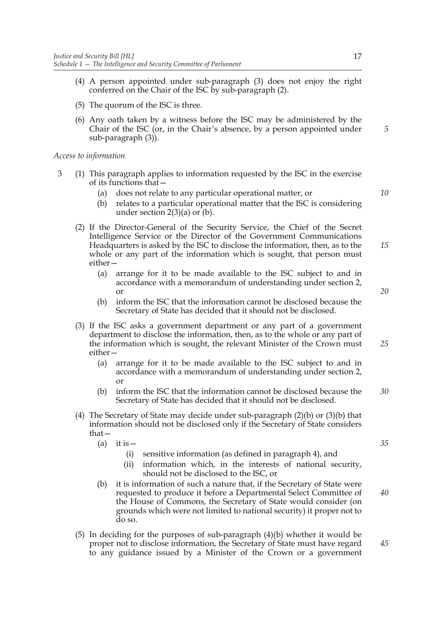- (4) A person appointed under sub-paragraph (3) does not enjoy the right conferred on the Chair of the ISC by sub-paragraph (2).
- (5) The quorum of the ISC is three.
- (6) Any oath taken by a witness before the ISC may be administered by the Chair of the ISC (or, in the Chair's absence, by a person appointed under sub-paragraph (3)).

*Access to information*

- 3 (1) This paragraph applies to information requested by the ISC in the exercise of its functions that—
	- (a) does not relate to any particular operational matter, or
- *10*

*15*

*20*

*25*

- (b) relates to a particular operational matter that the ISC is considering under section  $2(3)(a)$  or (b).
- (2) If the Director-General of the Security Service, the Chief of the Secret Intelligence Service or the Director of the Government Communications Headquarters is asked by the ISC to disclose the information, then, as to the whole or any part of the information which is sought, that person must either—
	- (a) arrange for it to be made available to the ISC subject to and in accordance with a memorandum of understanding under section 2, or
	- (b) inform the ISC that the information cannot be disclosed because the Secretary of State has decided that it should not be disclosed.
- (3) If the ISC asks a government department or any part of a government department to disclose the information, then, as to the whole or any part of the information which is sought, the relevant Minister of the Crown must either—
	- (a) arrange for it to be made available to the ISC subject to and in accordance with a memorandum of understanding under section 2, or
	- (b) inform the ISC that the information cannot be disclosed because the Secretary of State has decided that it should not be disclosed. *30*
- (4) The Secretary of State may decide under sub-paragraph (2)(b) or (3)(b) that information should not be disclosed only if the Secretary of State considers that—
	- $(a)$  it is  $-$ 
		- (i) sensitive information (as defined in paragraph 4), and
		- (ii) information which, in the interests of national security, should not be disclosed to the ISC, or
	- (b) it is information of such a nature that, if the Secretary of State were requested to produce it before a Departmental Select Committee of the House of Commons, the Secretary of State would consider (on grounds which were not limited to national security) it proper not to do so. *40*
- (5) In deciding for the purposes of sub-paragraph (4)(b) whether it would be proper not to disclose information, the Secretary of State must have regard to any guidance issued by a Minister of the Crown or a government *45*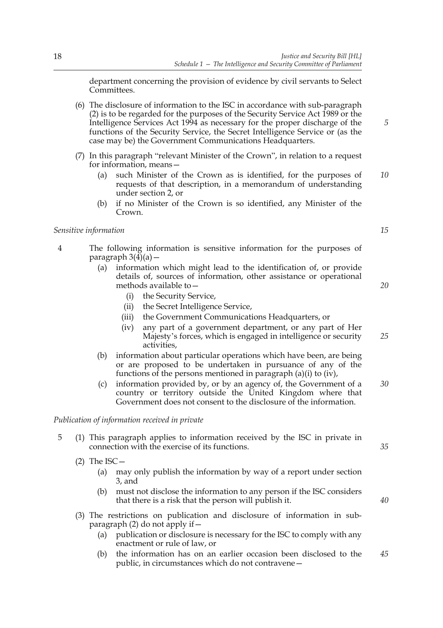department concerning the provision of evidence by civil servants to Select Committees.

- (6) The disclosure of information to the ISC in accordance with sub-paragraph (2) is to be regarded for the purposes of the Security Service Act 1989 or the Intelligence Services Act 1994 as necessary for the proper discharge of the functions of the Security Service, the Secret Intelligence Service or (as the case may be) the Government Communications Headquarters.
- (7) In this paragraph "relevant Minister of the Crown", in relation to a request for information, means—
	- (a) such Minister of the Crown as is identified, for the purposes of requests of that description, in a memorandum of understanding under section 2, or *10*
	- (b) if no Minister of the Crown is so identified, any Minister of the Crown.

#### *Sensitive information*

- 4 The following information is sensitive information for the purposes of paragraph  $3(4)(a)$  –
	- (a) information which might lead to the identification of, or provide details of, sources of information, other assistance or operational methods available to—
		- (i) the Security Service,
		- (ii) the Secret Intelligence Service,
		- (iii) the Government Communications Headquarters, or
		- (iv) any part of a government department, or any part of Her Majesty's forces, which is engaged in intelligence or security activities, *25*
	- (b) information about particular operations which have been, are being or are proposed to be undertaken in pursuance of any of the functions of the persons mentioned in paragraph  $(a)(i)$  to  $(iv)$ ,
	- (c) information provided by, or by an agency of, the Government of a country or territory outside the United Kingdom where that Government does not consent to the disclosure of the information. *30*

#### *Publication of information received in private*

|  | 5 (1) This paragraph applies to information received by the ISC in private in |  |  |  |  |  |
|--|-------------------------------------------------------------------------------|--|--|--|--|--|
|  | connection with the exercise of its functions.                                |  |  |  |  |  |

- (2) The  $ISC -$ 
	- (a) may only publish the information by way of a report under section 3, and
	- (b) must not disclose the information to any person if the ISC considers that there is a risk that the person will publish it.
- (3) The restrictions on publication and disclosure of information in subparagraph (2) do not apply if—
	- (a) publication or disclosure is necessary for the ISC to comply with any enactment or rule of law, or
	- (b) the information has on an earlier occasion been disclosed to the public, in circumstances which do not contravene— *45*

*15*

*5*

*20*

*35*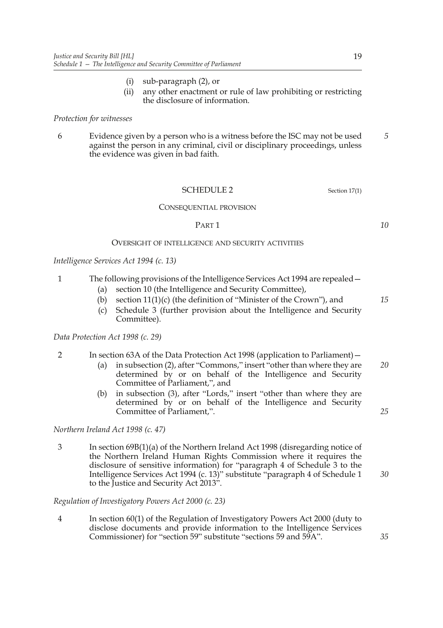- (i) sub-paragraph (2), or
- (ii) any other enactment or rule of law prohibiting or restricting the disclosure of information.

## *Protection for witnesses*

6 Evidence given by a person who is a witness before the ISC may not be used against the person in any criminal, civil or disciplinary proceedings, unless the evidence was given in bad faith. *5*

#### SCHEDULE 2 Section 17(1)

#### CONSEQUENTIAL PROVISION

#### PART 1

## OVERSIGHT OF INTELLIGENCE AND SECURITY ACTIVITIES

*Intelligence Services Act 1994 (c. 13)*

- 1 The following provisions of the Intelligence Services Act 1994 are repealed—
	- (a) section 10 (the Intelligence and Security Committee),
	- (b) section 11(1)(c) (the definition of "Minister of the Crown"), and
	- (c) Schedule 3 (further provision about the Intelligence and Security Committee).

*Data Protection Act 1998 (c. 29)*

- 2 In section 63A of the Data Protection Act 1998 (application to Parliament)—
	- (a) in subsection (2), after "Commons," insert "other than where they are determined by or on behalf of the Intelligence and Security Committee of Parliament,", and
	- (b) in subsection (3), after "Lords," insert "other than where they are determined by or on behalf of the Intelligence and Security Committee of Parliament,".

*Northern Ireland Act 1998 (c. 47)*

3 In section 69B(1)(a) of the Northern Ireland Act 1998 (disregarding notice of the Northern Ireland Human Rights Commission where it requires the disclosure of sensitive information) for "paragraph 4 of Schedule 3 to the Intelligence Services Act 1994 (c. 13)" substitute "paragraph 4 of Schedule 1 to the Justice and Security Act 2013".

*Regulation of Investigatory Powers Act 2000 (c. 23)*

4 In section 60(1) of the Regulation of Investigatory Powers Act 2000 (duty to disclose documents and provide information to the Intelligence Services Commissioner) for "section 59" substitute "sections 59 and 59A".

*10*

*15*

*20*

*25*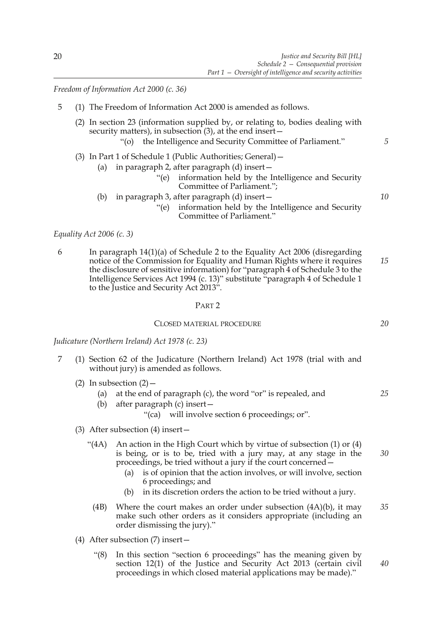*Freedom of Information Act 2000 (c. 36)*

- 5 (1) The Freedom of Information Act 2000 is amended as follows.
	- (2) In section 23 (information supplied by, or relating to, bodies dealing with security matters), in subsection (3), at the end insert -
		- "(o) the Intelligence and Security Committee of Parliament."
	- (3) In Part 1 of Schedule 1 (Public Authorities; General)—
		- (a) in paragraph 2, after paragraph (d) insert—
			- "(e) information held by the Intelligence and Security Committee of Parliament.";
		- (b) in paragraph 3, after paragraph (d) insert— "(e) information held by the Intelligence and Security Committee of Parliament." *10*

*Equality Act 2006 (c. 3)*

6 In paragraph 14(1)(a) of Schedule 2 to the Equality Act 2006 (disregarding notice of the Commission for Equality and Human Rights where it requires the disclosure of sensitive information) for "paragraph 4 of Schedule 3 to the Intelligence Services Act 1994 (c. 13)" substitute "paragraph 4 of Schedule 1 to the Justice and Security Act 2013". *15*

#### PART 2

#### CLOSED MATERIAL PROCEDURE

*Judicature (Northern Ireland) Act 1978 (c. 23)*

- 7 (1) Section 62 of the Judicature (Northern Ireland) Act 1978 (trial with and without jury) is amended as follows.
	- (2) In subsection  $(2)$ 
		- (a) at the end of paragraph (c), the word "or" is repealed, and
		- (b) after paragraph (c) insert—
			- "(ca) will involve section 6 proceedings; or".
	- (3) After subsection (4) insert—
		- "(4A) An action in the High Court which by virtue of subsection (1) or (4) is being, or is to be, tried with a jury may, at any stage in the proceedings, be tried without a jury if the court concerned— *30*
			- (a) is of opinion that the action involves, or will involve, section 6 proceedings; and
			- (b) in its discretion orders the action to be tried without a jury.
		- (4B) Where the court makes an order under subsection (4A)(b), it may make such other orders as it considers appropriate (including an order dismissing the jury)." *35*
	- (4) After subsection (7) insert—
		- "(8) In this section "section 6 proceedings" has the meaning given by section 12(1) of the Justice and Security Act 2013 (certain civil proceedings in which closed material applications may be made)."

*20*

*5*

*25*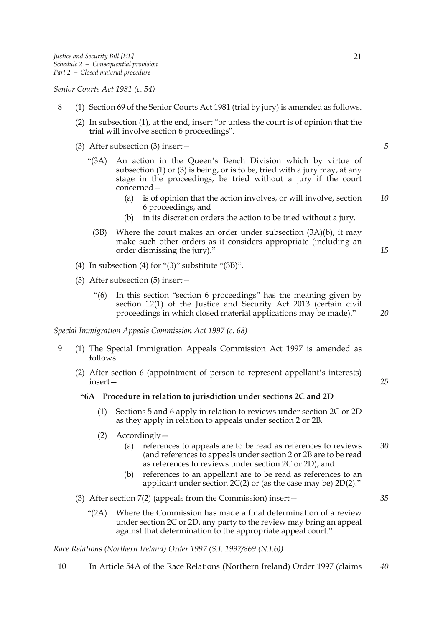*Senior Courts Act 1981 (c. 54)*

- 8 (1) Section 69 of the Senior Courts Act 1981 (trial by jury) is amended as follows.
	- (2) In subsection (1), at the end, insert "or unless the court is of opinion that the trial will involve section 6 proceedings".
	- (3) After subsection (3) insert—
		- "(3A) An action in the Queen's Bench Division which by virtue of subsection (1) or (3) is being, or is to be, tried with a jury may, at any stage in the proceedings, be tried without a jury if the court concerned—
			- (a) is of opinion that the action involves, or will involve, section 6 proceedings, and *10*
			- (b) in its discretion orders the action to be tried without a jury.
			- (3B) Where the court makes an order under subsection (3A)(b), it may make such other orders as it considers appropriate (including an order dismissing the jury)."
	- (4) In subsection (4) for "(3)" substitute "(3B)".
	- (5) After subsection (5) insert—
		- "(6) In this section "section 6 proceedings" has the meaning given by section 12(1) of the Justice and Security Act 2013 (certain civil proceedings in which closed material applications may be made)."

*Special Immigration Appeals Commission Act 1997 (c. 68)*

- 9 (1) The Special Immigration Appeals Commission Act 1997 is amended as follows.
	- (2) After section 6 (appointment of person to represent appellant's interests) insert—

#### **"6A Procedure in relation to jurisdiction under sections 2C and 2D**

- (1) Sections 5 and 6 apply in relation to reviews under section 2C or 2D as they apply in relation to appeals under section 2 or 2B.
- (2) Accordingly—
	- (a) references to appeals are to be read as references to reviews (and references to appeals under section 2 or 2B are to be read as references to reviews under section 2C or 2D), and *30*
	- (b) references to an appellant are to be read as references to an applicant under section  $2C(2)$  or (as the case may be)  $2D(2)$ ."
- (3) After section 7(2) (appeals from the Commission) insert—
	- "(2A) Where the Commission has made a final determination of a review under section 2C or 2D, any party to the review may bring an appeal against that determination to the appropriate appeal court."

*Race Relations (Northern Ireland) Order 1997 (S.I. 1997/869 (N.I.6))*

10 In Article 54A of the Race Relations (Northern Ireland) Order 1997 (claims *40*

*20*

*25*

*35*

*15*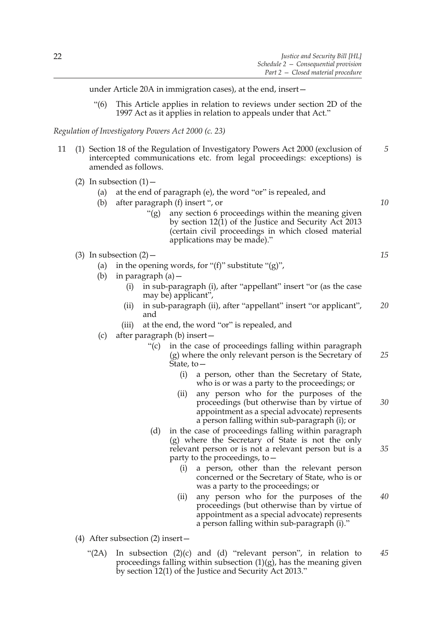under Article 20A in immigration cases), at the end, insert—

"(6) This Article applies in relation to reviews under section 2D of the 1997 Act as it applies in relation to appeals under that Act."

*Regulation of Investigatory Powers Act 2000 (c. 23)*

- 11 (1) Section 18 of the Regulation of Investigatory Powers Act 2000 (exclusion of intercepted communications etc. from legal proceedings: exceptions) is amended as follows. *5*
	- (2) In subsection  $(1)$ 
		- (a) at the end of paragraph (e), the word "or" is repealed, and
		- (b) after paragraph (f) insert ", or
			- "(g) any section 6 proceedings within the meaning given by section 12(1) of the Justice and Security Act 2013 (certain civil proceedings in which closed material applications may be made)."
	- (3) In subsection  $(2)$ 
		- (a) in the opening words, for " $(f)$ " substitute " $(g)$ ",

(b) in paragraph  $(a)$  –

- (i) in sub-paragraph (i), after "appellant" insert "or (as the case may be) applicant",
- (ii) in sub-paragraph (ii), after "appellant" insert "or applicant", and *20*
- (iii) at the end, the word "or" is repealed, and
- (c) after paragraph (b) insert—
	- "(c) in the case of proceedings falling within paragraph (g) where the only relevant person is the Secretary of State, to— *25*
		- (i) a person, other than the Secretary of State, who is or was a party to the proceedings; or
		- (ii) any person who for the purposes of the proceedings (but otherwise than by virtue of appointment as a special advocate) represents a person falling within sub-paragraph (i); or
	- (d) in the case of proceedings falling within paragraph (g) where the Secretary of State is not the only relevant person or is not a relevant person but is a party to the proceedings, to—
		- (i) a person, other than the relevant person concerned or the Secretary of State, who is or was a party to the proceedings; or
		- (ii) any person who for the purposes of the proceedings (but otherwise than by virtue of appointment as a special advocate) represents a person falling within sub-paragraph (i)." *40*
- (4) After subsection (2) insert—
	- "(2A) In subsection (2)(c) and (d) "relevant person", in relation to proceedings falling within subsection  $(1)(g)$ , has the meaning given by section 12(1) of the Justice and Security Act 2013." *45*

*15*

*30*

*35*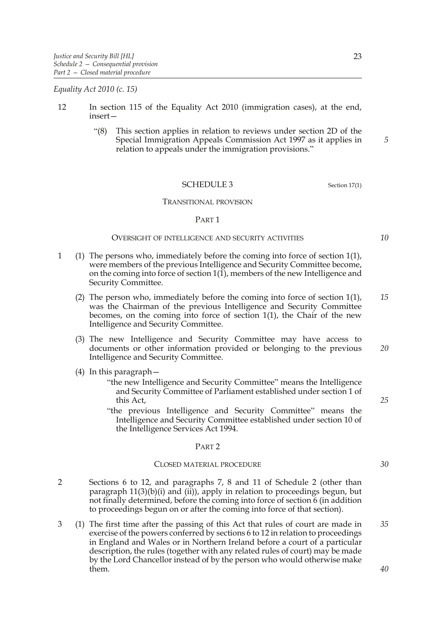*Equality Act 2010 (c. 15)*

- 12 In section 115 of the Equality Act 2010 (immigration cases), at the end, insert—
	- "(8) This section applies in relation to reviews under section 2D of the Special Immigration Appeals Commission Act 1997 as it applies in relation to appeals under the immigration provisions."

#### SCHEDULE 3 Section 17(1)

#### TRANSITIONAL PROVISION

#### PART 1

#### OVERSIGHT OF INTELLIGENCE AND SECURITY ACTIVITIES

- 1 (1) The persons who, immediately before the coming into force of section 1(1), were members of the previous Intelligence and Security Committee become, on the coming into force of section 1(1), members of the new Intelligence and Security Committee.
	- (2) The person who, immediately before the coming into force of section 1(1), was the Chairman of the previous Intelligence and Security Committee becomes, on the coming into force of section  $1(1)$ , the Chair of the new Intelligence and Security Committee. *15*
	- (3) The new Intelligence and Security Committee may have access to documents or other information provided or belonging to the previous Intelligence and Security Committee.
	- (4) In this paragraph—
		- "the new Intelligence and Security Committee" means the Intelligence and Security Committee of Parliament established under section 1 of this Act,
		- "the previous Intelligence and Security Committee" means the Intelligence and Security Committee established under section 10 of the Intelligence Services Act 1994.

#### PART 2

#### CLOSED MATERIAL PROCEDURE

- 2 Sections 6 to 12, and paragraphs 7, 8 and 11 of Schedule 2 (other than paragraph  $11(3)(b)(i)$  and (ii)), apply in relation to proceedings begun, but not finally determined, before the coming into force of section 6 (in addition to proceedings begun on or after the coming into force of that section).
- 3 (1) The first time after the passing of this Act that rules of court are made in exercise of the powers conferred by sections 6 to 12 in relation to proceedings in England and Wales or in Northern Ireland before a court of a particular description, the rules (together with any related rules of court) may be made by the Lord Chancellor instead of by the person who would otherwise make them. *35 40*

*20*

*25*

# *10*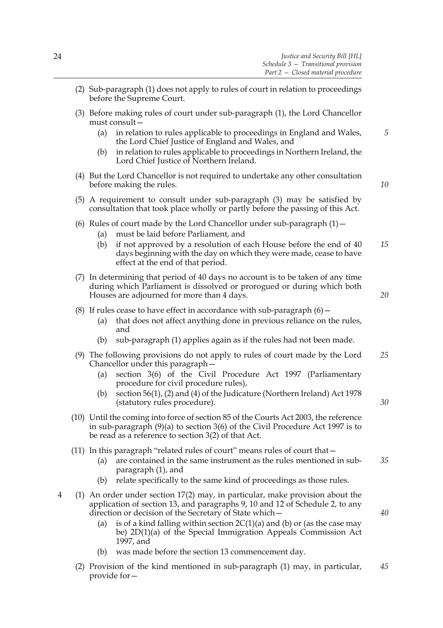- (2) Sub-paragraph (1) does not apply to rules of court in relation to proceedings before the Supreme Court.
- (3) Before making rules of court under sub-paragraph (1), the Lord Chancellor must consult—
	- (a) in relation to rules applicable to proceedings in England and Wales, the Lord Chief Justice of England and Wales, and
	- (b) in relation to rules applicable to proceedings in Northern Ireland, the Lord Chief Justice of Northern Ireland.
- (4) But the Lord Chancellor is not required to undertake any other consultation before making the rules.
- (5) A requirement to consult under sub-paragraph (3) may be satisfied by consultation that took place wholly or partly before the passing of this Act.
- (6) Rules of court made by the Lord Chancellor under sub-paragraph  $(1)$  -
	- (a) must be laid before Parliament, and
	- (b) if not approved by a resolution of each House before the end of 40 days beginning with the day on which they were made, cease to have effect at the end of that period. *15*
- (7) In determining that period of 40 days no account is to be taken of any time during which Parliament is dissolved or prorogued or during which both Houses are adjourned for more than 4 days.

(8) If rules cease to have effect in accordance with sub-paragraph  $(6)$  -

- (a) that does not affect anything done in previous reliance on the rules, and
- (b) sub-paragraph (1) applies again as if the rules had not been made.
- (9) The following provisions do not apply to rules of court made by the Lord Chancellor under this paragraph— *25*
	- (a) section 3(6) of the Civil Procedure Act 1997 (Parliamentary procedure for civil procedure rules),
	- (b) section 56(1), (2) and (4) of the Judicature (Northern Ireland) Act 1978 (statutory rules procedure).
- (10) Until the coming into force of section 85 of the Courts Act 2003, the reference in sub-paragraph (9)(a) to section 3(6) of the Civil Procedure Act 1997 is to be read as a reference to section 3(2) of that Act.
- (11) In this paragraph "related rules of court" means rules of court that—
	- (a) are contained in the same instrument as the rules mentioned in subparagraph (1), and *35*
	- (b) relate specifically to the same kind of proceedings as those rules.
- 4 (1) An order under section 17(2) may, in particular, make provision about the application of section 13, and paragraphs 9, 10 and 12 of Schedule 2, to any direction or decision of the Secretary of State which—
	- (a) is of a kind falling within section  $2C(1)(a)$  and (b) or (as the case may be) 2D(1)(a) of the Special Immigration Appeals Commission Act 1997, and
	- (b) was made before the section 13 commencement day.
	- (2) Provision of the kind mentioned in sub-paragraph (1) may, in particular, provide for— *45*

*40*

*5*

*10*

*20*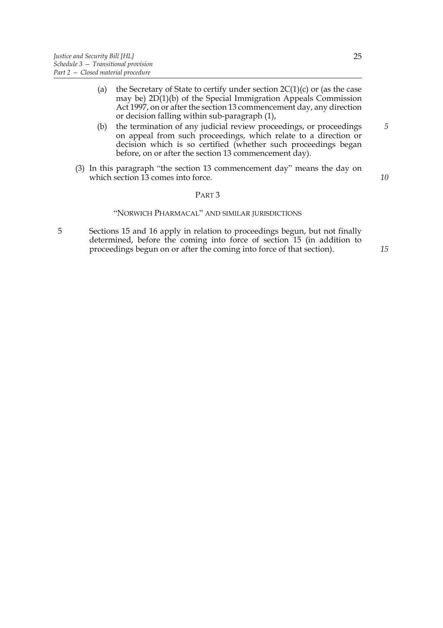- (a) the Secretary of State to certify under section  $2C(1)(c)$  or (as the case may be) 2D(1)(b) of the Special Immigration Appeals Commission Act 1997, on or after the section 13 commencement day, any direction or decision falling within sub-paragraph (1),
- (b) the termination of any judicial review proceedings, or proceedings on appeal from such proceedings, which relate to a direction or decision which is so certified (whether such proceedings began before, on or after the section 13 commencement day).
- (3) In this paragraph "the section 13 commencement day" means the day on which section 13 comes into force.

*10*

*5*

#### PART 3

#### "NORWICH PHARMACAL" AND SIMILAR JURISDICTIONS

5 Sections 15 and 16 apply in relation to proceedings begun, but not finally determined, before the coming into force of section 15 (in addition to proceedings begun on or after the coming into force of that section).